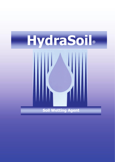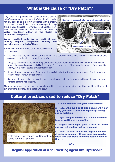#### **What is the cause of "Dry Patch"?**

"Dry Patch" is a physiological condition that shows up in turf as an area of dryness or turf discoloration during hot dry periods. It is directly associated with a shallow root system caused by factors such as compaction, layering, pests, diseases, or over-use of chemicals. However, the most common cause in turf is **an area of water repellency either in the thatch or within the sand profile.**

**Water repellent soils are a result of nonwetting organic compounds coating soil particles over a period of time.**

Sandy soils are very prone to water repellency due to three reasons:



- 2. Sandy soil favours the growth of fungi and fungal hyphae. Fungi feed on organic matter leaving behind waxes, lignins and organic acids like fulvic acid. Fulvic acids, one of the major by-products from microbial activity, are a major source of water repellency;
- 3. Remnant fungal hyphae from Basidiomycetes sp (Fairy ring) which are a major source of water repellent organic matter favour dry sandy soils;
- 4. Sandy soil dry out easily and once the sand particles are coated with organic acids and dry-out, the sand particles become non-wetting.

There are some cultural practices that can be used to reduce the on-set of non-wetting conditions. However in turf situations, it is inevitable that it will occur.

### **Cultural practices used to reduce "Dry Patch"**



Sands at the Soil Surface

**1. Use low volumes of organic amendments;**

**2. Reduce the build up of organic matter by managing your thatch level with regular grooming and dethatching;**

**Electron-micrograph of a non-wetting sand particle**

**CONTRACTOR CONTRACTOR AND ACCOUNT OF A REPORT OF A REPORT OF A REPORT OF A REPORT OF A REPORT OF A REPORT OF A** 

**Dehydrated Fulvic aci** 

**Surface of Sand Particle**

**3. Light coring of the surface to allow more uniform re-wetting of the profile;**

**4. Irrigate over longer cycles to flush the profile and prevent shallow root development;**

**5. Dilute the level of non-wetting sand by topdressing or dusting with new sand on a regular basis. This also slows down the accumulation of thatch;**

**AND**

**Regular application of a soil wetting agent like HydraSoil ®**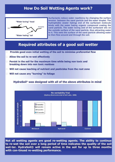## **How Do Soil Wetting Agents work?**



**Surfactants reduce water repellency by changing the surface tension between the sand particle and the water droplet. The hydrophobic (water hating) end of the surfactant molecule binds with the water hating organic compound coating the sand particle. The water loving end of the surfactant sits on the outside surface of the sand particle, thus attracting water to it. This wets the surface of the sand particle allowing water to then flow around and through the soil.**

### **Required attributes of a good soil wetter**

- **Provide good even initial wetting of the soil to minimise preferential flow**
- **Allow the soil to re-wet effectively**
- **Persist in the soil for the maximum time while being non toxic and breaking down into non toxic residues**
- **Will not cause leaching of nutrient and pesticides from the root zone**
- **Will not cause any "burning" to foliage**

**HydraSoil® was designed with all of the above attributes in mind**



**Not all wetting agents are good re-wetting agents. The ability to continue to re-wet the soil over a long period of time indicates the quality of the soil wet-ter. HydraSoil® will remain active in the soil for up to three months with con-tinued re-wetting performance.**